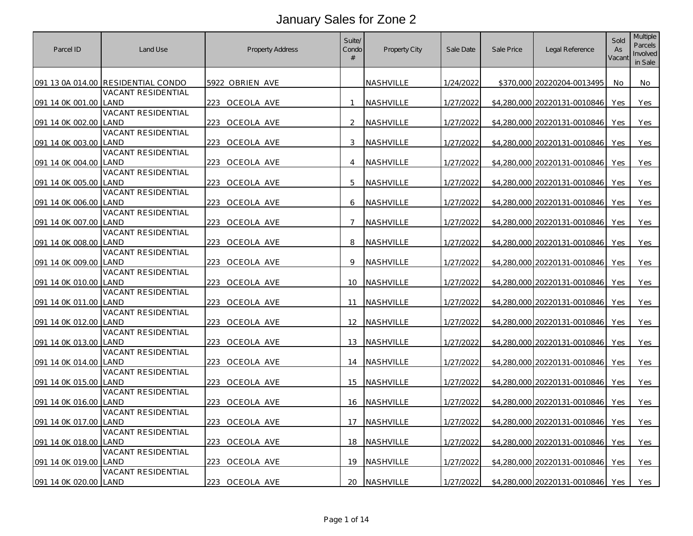| Parcel ID        | Land Use                          | <b>Property Address</b> | Suite/<br>Condo<br># | Property City    | Sale Date | Sale Price  | Legal Reference              | Sold<br>As<br>Vacant | Multiple<br>Parcels<br>Involved<br>in Sale |
|------------------|-----------------------------------|-------------------------|----------------------|------------------|-----------|-------------|------------------------------|----------------------|--------------------------------------------|
| 091 13 0A 014.00 | <b>RESIDENTIAL CONDO</b>          | 5922 OBRIEN AVE         |                      | NASHVILLE        | 1/24/2022 |             | \$370,000 20220204-0013495   | No                   | No                                         |
|                  | VACANT RESIDENTIAL                |                         |                      |                  |           |             |                              |                      |                                            |
| 091 14 0K 001.00 | LAND                              | 223 OCEOLA AVE          | 1                    | NASHVILLE        | 1/27/2022 |             | \$4,280,000 20220131-0010846 | Yes                  | <b>Yes</b>                                 |
|                  | <b>VACANT RESIDENTIAL</b>         |                         |                      |                  |           |             |                              |                      |                                            |
| 091 14 0K 002.00 | LAND                              | 223 OCEOLA AVE          | 2                    | NASHVILLE        | 1/27/2022 |             | \$4,280,000 20220131-0010846 | Yes                  | Yes                                        |
| 091 14 0K 003.00 | VACANT RESIDENTIAL<br>LAND        | 223 OCEOLA AVE          | 3                    | NASHVILLE        | 1/27/2022 |             | \$4,280,000 20220131-0010846 | Yes                  | Yes                                        |
|                  | <b>VACANT RESIDENTIAL</b>         |                         |                      |                  |           |             |                              |                      |                                            |
| 091 14 0K 004.00 | LAND                              | 223<br>OCEOLA AVE       | $\overline{4}$       | NASHVILLE        | 1/27/2022 |             | \$4,280,000 20220131-0010846 | <b>Yes</b>           | Yes                                        |
| 091 14 0K 005.00 | VACANT RESIDENTIAL<br>I AND       | 223<br>OCEOLA AVE       | 5                    | NASHVILLE        | 1/27/2022 | \$4,280,000 | 20220131-0010846             | Yes                  | Yes                                        |
|                  | VACANT RESIDENTIAL                |                         |                      |                  |           |             |                              |                      |                                            |
| 091 14 0K 006.00 | _AND                              | 223 OCEOLA AVE          | 6                    | NASHVILLE        | 1/27/2022 |             | \$4,280,000 20220131-0010846 | Yes                  | Yes                                        |
|                  | <b>VACANT RESIDENTIAL</b>         |                         |                      |                  |           |             |                              |                      |                                            |
| 091 14 0K 007.00 | LAND<br><b>VACANT RESIDENTIAL</b> | 223<br>OCEOLA AVE       | 7                    | NASHVILLE        | 1/27/2022 |             | \$4,280,000 20220131-0010846 | Yes                  | Yes                                        |
| 091 14 0K 008.00 | LAND                              | 223 OCEOLA AVE          | 8                    | NASHVILLE        | 1/27/2022 |             | \$4,280,000 20220131-0010846 | <b>Yes</b>           | <b>Yes</b>                                 |
|                  | <b>VACANT RESIDENTIAL</b>         |                         |                      |                  |           |             |                              |                      |                                            |
| 091 14 0K 009.00 | <b>AND</b>                        | 223<br>OCEOLA AVE       | 9                    | NASHVILLE        | 1/27/2022 | \$4,280,000 | 20220131-0010846             | Yes                  | Yes                                        |
|                  | <b>VACANT RESIDENTIAL</b>         |                         |                      |                  |           |             |                              |                      |                                            |
| 091 14 0K 010.00 | land<br><b>VACANT RESIDENTIAL</b> | 223<br>OCEOLA AVE       | 10                   | <b>NASHVILLE</b> | 1/27/2022 |             | \$4,280,000 20220131-0010846 | Yes                  | <b>Yes</b>                                 |
| 091 14 0K 011.00 | I AND                             | 223<br>OCEOLA AVE       | 11                   | NASHVILLE        | 1/27/2022 | \$4,280,000 | 20220131-0010846             | Yes                  | Yes                                        |
|                  | <b>VACANT RESIDENTIAL</b>         |                         |                      |                  |           |             |                              |                      |                                            |
| 091 14 0K 012.00 | LAND                              | 223<br>OCEOLA AVE       | 12 <sup>2</sup>      | NASHVILLE        | 1/27/2022 |             | \$4,280,000 20220131-0010846 | Yes                  | <b>Yes</b>                                 |
|                  | VACANT RESIDENTIAL                |                         |                      |                  |           |             |                              |                      |                                            |
| 091 14 0K 013.00 | LAND                              | 223<br>OCEOLA AVE       | 13                   | NASHVILLE        | 1/27/2022 | \$4,280,000 | 20220131-0010846             | Yes                  | Yes                                        |
| 091 14 0K 014.00 | <b>VACANT RESIDENTIAL</b><br>land | 223 OCEOLA AVE          | 14                   | NASHVILLE        | 1/27/2022 |             | \$4,280,000 20220131-0010846 | Yes                  | <b>Yes</b>                                 |
|                  | <b>VACANT RESIDENTIAL</b>         |                         |                      |                  |           |             |                              |                      |                                            |
| 091 14 0K 015.00 | LAND                              | 223<br>OCEOLA AVE       | 15                   | NASHVILLE        | 1/27/2022 |             | \$4,280,000 20220131-0010846 | Yes                  | Yes                                        |
|                  | VACANT RESIDENTIAL                |                         |                      |                  |           |             |                              |                      |                                            |
| 091 14 0K 016.00 | land                              | 223 OCEOLA AVE          | 16                   | NASHVILLE        | 1/27/2022 | \$4,280,000 | 20220131-0010846             | Yes                  | Yes                                        |
|                  | VACANT RESIDENTIAL<br>_AND        |                         | 17                   |                  |           |             |                              |                      |                                            |
| 091 14 0K 017.00 | <b>VACANT RESIDENTIAL</b>         | OCEOLA AVE<br>223       |                      | NASHVILLE        | 1/27/2022 | \$4,280,000 | 20220131-0010846             | Yes                  | Yes                                        |
| 091 14 0K 018.00 | LAND                              | 223<br>OCEOLA AVE       | 18                   | NASHVILLE        | 1/27/2022 |             | \$4,280,000 20220131-0010846 | Yes                  | Yes                                        |
|                  | <b>VACANT RESIDENTIAL</b>         |                         |                      |                  |           |             |                              |                      |                                            |
| 091 14 0K 019.00 | LAND                              | 223<br>OCEOLA AVE       | 19                   | NASHVILLE        | 1/27/2022 |             | \$4,280,000 20220131-0010846 | Yes                  | Yes                                        |
| 091 14 0K 020.00 | VACANT RESIDENTIAL<br>LAND        | 223 OCEOLA AVE          | 20                   | NASHVILLE        | 1/27/2022 |             | \$4,280,000 20220131-0010846 | Yes                  | Yes                                        |
|                  |                                   |                         |                      |                  |           |             |                              |                      |                                            |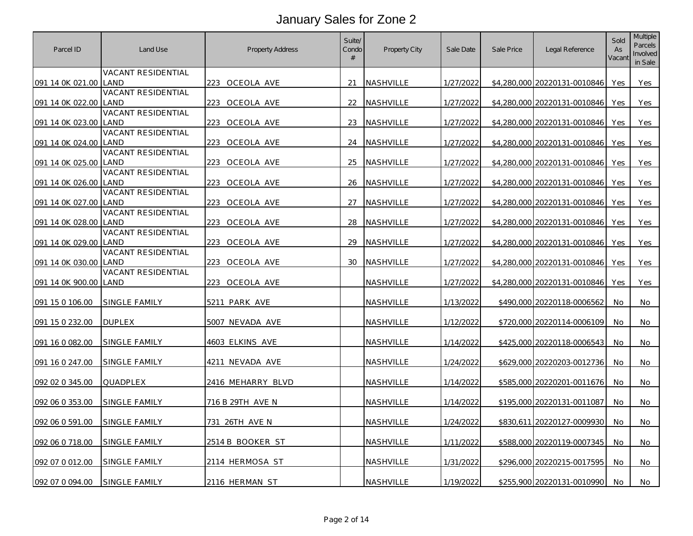| Parcel ID        | Land Use                          | <b>Property Address</b> | Suite/<br>Condo<br># | <b>Property City</b> | Sale Date | Sale Price | Legal Reference              | Sold<br>As<br>Vacant | <b>Multiple</b><br>Parcels<br>Involved<br>in Sale |
|------------------|-----------------------------------|-------------------------|----------------------|----------------------|-----------|------------|------------------------------|----------------------|---------------------------------------------------|
| 091 14 0K 021.00 | VACANT RESIDENTIAL<br>LAND        | 223 OCEOLA AVE          | 21                   | NASHVILLE            | 1/27/2022 |            | \$4,280,000 20220131-0010846 | <b>Yes</b>           | Yes                                               |
|                  | <b>VACANT RESIDENTIAL</b>         |                         |                      |                      |           |            |                              |                      |                                                   |
| 091 14 0K 022.00 | LAND                              | 223 OCEOLA AVE          | 22                   | NASHVILLE            | 1/27/2022 |            | \$4,280,000 20220131-0010846 | Yes                  | Yes                                               |
| 091 14 0K 023.00 | VACANT RESIDENTIAL<br>LAND        | 223<br>OCEOLA AVE       | 23                   | <b>NASHVILLE</b>     | 1/27/2022 |            | \$4,280,000 20220131-0010846 | <b>Yes</b>           | <b>Yes</b>                                        |
| 091 14 0K 024.00 | VACANT RESIDENTIAL<br>LAND        | OCEOLA AVE<br>223       | 24                   | NASHVILLE            | 1/27/2022 |            | \$4,280,000 20220131-0010846 | <b>Yes</b>           | Yes                                               |
|                  | VACANT RESIDENTIAL                |                         |                      |                      |           |            |                              |                      |                                                   |
| 091 14 0K 025.00 | LAND<br>VACANT RESIDENTIAL        | 223<br>OCEOLA AVE       | 25                   | NASHVILLE            | 1/27/2022 |            | \$4,280,000 20220131-0010846 | Yes                  | <b>Yes</b>                                        |
| 091 14 0K 026.00 | _AND                              | 223<br>OCEOLA AVE       | 26                   | NASHVILLE            | 1/27/2022 |            | \$4,280,000 20220131-0010846 | Yes                  | Yes                                               |
| 091 14 0K 027.00 | VACANT RESIDENTIAL<br>LAND        | 223 OCEOLA AVE          | 27                   | NASHVILLE            | 1/27/2022 |            | \$4,280,000 20220131-0010846 | Yes                  | Yes                                               |
| 091 14 0K 028.00 | <b>VACANT RESIDENTIAL</b><br>LAND | 223<br>OCEOLA AVE       | 28                   | <b>NASHVILLE</b>     | 1/27/2022 |            | \$4,280,000 20220131-0010846 | Yes                  | Yes                                               |
|                  | VACANT RESIDENTIAL                |                         |                      |                      |           |            |                              |                      |                                                   |
| 091 14 0K 029.00 | LAND                              | 223 OCEOLA AVE          | 29                   | NASHVILLE            | 1/27/2022 |            | \$4,280,000 20220131-0010846 | <b>Yes</b>           | Yes                                               |
| 091 14 0K 030.00 | VACANT RESIDENTIAL<br>I AND       | 223<br>OCEOLA AVE       | 30                   | NASHVILLE            | 1/27/2022 |            | \$4,280,000 20220131-0010846 | Yes                  | Yes                                               |
| 091 14 0K 900.00 | VACANT RESIDENTIAL<br><b>LAND</b> | OCEOLA AVE<br>223.      |                      | <b>NASHVILLE</b>     | 1/27/2022 |            | \$4,280,000 20220131-0010846 | <b>Yes</b>           | <b>Yes</b>                                        |
|                  |                                   |                         |                      |                      |           |            |                              |                      |                                                   |
| 091 15 0 106.00  | SINGLE FAMILY                     | 5211 PARK AVE           |                      | NASHVILLE            | 1/13/2022 |            | \$490,000 20220118-0006562   | No.                  | No                                                |
| 091 15 0 232.00  | <b>DUPLEX</b>                     | 5007 NEVADA AVE         |                      | NASHVILLE            | 1/12/2022 |            | \$720,000 20220114-0006109   | No.                  | No                                                |
| 091 16 0 082.00  | SINGLE FAMILY                     | 4603 ELKINS AVE         |                      | NASHVILLE            | 1/14/2022 |            | \$425,000 20220118-0006543   | No                   | No                                                |
| 091 16 0 247.00  | SINGLE FAMILY                     | 4211 NEVADA AVE         |                      | NASHVILLE            | 1/24/2022 |            | \$629,000 20220203-0012736   | No.                  | No                                                |
| 092 02 0 345.00  | QUADPLEX                          | 2416 MEHARRY BLVD       |                      | NASHVILLE            | 1/14/2022 |            | \$585,000 20220201-0011676   | No                   | No                                                |
| 092 06 0 353.00  | SINGLE FAMILY                     | 716 B 29TH AVE N        |                      | NASHVILLE            | 1/14/2022 |            | \$195,000 20220131-0011087   | No                   | No                                                |
|                  |                                   |                         |                      |                      |           |            |                              |                      |                                                   |
| 092 06 0 591.00  | SINGLE FAMILY                     | 731 26TH AVE N          |                      | NASHVILLE            | 1/24/2022 |            | \$830,611 20220127-0009930   | No.                  | No                                                |
| 092 06 0 718.00  | SINGLE FAMILY                     | 2514 B BOOKER ST        |                      | NASHVILLE            | 1/11/2022 |            | \$588,000 20220119-0007345   | No                   | No                                                |
| 092 07 0 012.00  | SINGLE FAMILY                     | 2114 HERMOSA ST         |                      | NASHVILLE            | 1/31/2022 |            | \$296,000 20220215-0017595   | No                   | No                                                |
| 092 07 0 094.00  | SINGLE FAMILY                     | 2116 HERMAN ST          |                      | NASHVILLE            | 1/19/2022 |            | \$255,900 20220131-0010990   | No.                  | No                                                |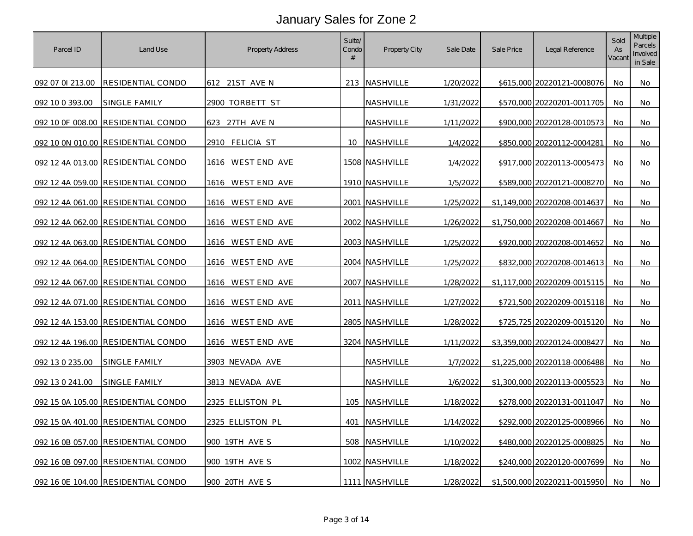| Parcel ID        | Land Use                           | <b>Property Address</b> | Suite/<br>Condo<br># | <b>Property City</b> | Sale Date | Sale Price | Legal Reference              | Sold<br>As<br>Vacant | Multiple<br>Parcels<br>Involved<br>in Sale |
|------------------|------------------------------------|-------------------------|----------------------|----------------------|-----------|------------|------------------------------|----------------------|--------------------------------------------|
| 092 07 01 213.00 | <b>RESIDENTIAL CONDO</b>           | 612 21ST AVE N          |                      | 213 NASHVILLE        | 1/20/2022 |            | \$615,000 20220121-0008076   | No                   | No                                         |
| 092 10 0 393.00  | SINGLE FAMILY                      | 2900 TORBETT ST         |                      | NASHVILLE            | 1/31/2022 |            | \$570,000 20220201-0011705   | No                   | No                                         |
|                  | 092 10 OF 008.00 RESIDENTIAL CONDO | 27TH AVE N<br>623       |                      | NASHVILLE            | 1/11/2022 |            | \$900,000 20220128-0010573   | No                   | No                                         |
|                  | 092 10 0N 010.00 RESIDENTIAL CONDO | 2910 FELICIA ST         | 10 <sup>°</sup>      | NASHVILLE            | 1/4/2022  |            | \$850,000 20220112-0004281   | No                   | No                                         |
|                  | 092 12 4A 013.00 RESIDENTIAL CONDO | 1616 WEST END AVE       |                      | 1508 NASHVILLE       | 1/4/2022  |            | \$917,000 20220113-0005473   | No                   | No                                         |
|                  | 092 12 4A 059.00 RESIDENTIAL CONDO | 1616 WEST END AVE       |                      | 1910 NASHVILLE       | 1/5/2022  |            | \$589,000 20220121-0008270   | No                   | No                                         |
|                  | 092 12 4A 061.00 RESIDENTIAL CONDO | 1616 WEST END AVE       |                      | 2001 NASHVILLE       | 1/25/2022 |            | \$1,149,000 20220208-0014637 | No                   | No                                         |
|                  | 092 12 4A 062.00 RESIDENTIAL CONDO | 1616 WEST END AVE       |                      | 2002 NASHVILLE       | 1/26/2022 |            | \$1,750,000 20220208-0014667 | No                   | No.                                        |
|                  | 092 12 4A 063.00 RESIDENTIAL CONDO | 1616 WEST END AVE       |                      | 2003 NASHVILLE       | 1/25/2022 |            | \$920,000 20220208-0014652   | No                   | No                                         |
|                  | 092 12 4A 064.00 RESIDENTIAL CONDO | 1616 WEST END AVE       |                      | 2004 NASHVILLE       | 1/25/2022 |            | \$832,000 20220208-0014613   | No                   | No                                         |
|                  | 092 12 4A 067.00 RESIDENTIAL CONDO | 1616 WEST END AVE       |                      | 2007 NASHVILLE       | 1/28/2022 |            | \$1,117,000 20220209-0015115 | No                   | No                                         |
|                  | 092 12 4A 071.00 RESIDENTIAL CONDO | 1616 WESTEND AVE        | 2011                 | NASHVILLE            | 1/27/2022 |            | \$721,500 20220209-0015118   | No                   | No                                         |
|                  | 092 12 4A 153.00 RESIDENTIAL CONDO | 1616 WEST END AVE       |                      | 2805 NASHVILLE       | 1/28/2022 |            | \$725,725 20220209-0015120   | No                   | No.                                        |
|                  | 092 12 4A 196.00 RESIDENTIAL CONDO | 1616 WEST END AVE       |                      | 3204 NASHVILLE       | 1/11/2022 |            | \$3,359,000 20220124-0008427 | No                   | No                                         |
| 092 13 0 235.00  | <u>SINGLE FAMILY</u>               | 3903 NEVADA AVE         |                      | NASHVILLE            | 1/7/2022  |            | \$1,225,000 20220118-0006488 | No                   | No                                         |
| 092 13 0 241.00  | SINGLE FAMILY                      | 3813 NEVADA AVE         |                      | NASHVILLE            | 1/6/2022  |            | \$1,300,000 20220113-0005523 | No                   | No                                         |
|                  | 092 15 0A 105.00 RESIDENTIAL CONDO | 2325 ELLISTON PL        | 105                  | NASHVILLE            | 1/18/2022 |            | \$278,000 20220131-0011047   | No                   | No                                         |
|                  | 092 15 0A 401.00 RESIDENTIAL CONDO | 2325 ELLISTON PL        | 401                  | <b>NASHVILLE</b>     | 1/14/2022 |            | \$292,000 20220125-0008966   | No                   | No                                         |
|                  | 092 16 0B 057.00 RESIDENTIAL CONDO | 900 19TH AVE S          | 508                  | <b>NASHVILLE</b>     | 1/10/2022 |            | \$480,000 20220125-0008825   | No                   | No                                         |
|                  | 092 16 0B 097.00 RESIDENTIAL CONDO | 900 19TH AVE S          |                      | 1002 NASHVILLE       | 1/18/2022 |            | \$240,000 20220120-0007699   | No                   | No                                         |
|                  | 092 16 0E 104.00 RESIDENTIAL CONDO | 900 20TH AVE S          |                      | 1111   NASHVILLE     | 1/28/2022 |            | \$1,500,000 20220211-0015950 | No.                  | No                                         |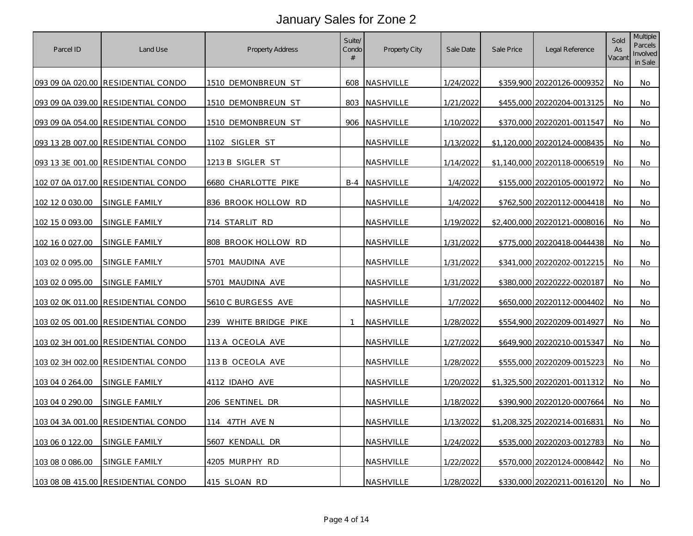| Parcel ID       | Land Use                           | <b>Property Address</b>   | Suite/<br>Condo<br># | Property City | Sale Date | Sale Price | Legal Reference              | Sold<br>As<br>Vacant | <b>Multiple</b><br>Parcels<br>Involved<br>in Sale |
|-----------------|------------------------------------|---------------------------|----------------------|---------------|-----------|------------|------------------------------|----------------------|---------------------------------------------------|
|                 | 093 09 0A 020.00 RESIDENTIAL CONDO | 1510 DEMONBREUN ST        |                      | 608 NASHVILLE | 1/24/2022 |            | \$359,900 20220126-0009352   | No                   | No                                                |
|                 | 093 09 0A 039.00 RESIDENTIAL CONDO | 1510 DEMONBREUN ST        |                      | 803 NASHVILLE | 1/21/2022 |            | \$455,000 20220204-0013125   | No.                  | No                                                |
|                 | 093 09 0A 054.00 RESIDENTIAL CONDO | 1510 DEMONBREUN ST        |                      | 906 NASHVILLE | 1/10/2022 |            | \$370,000 20220201-0011547   | No                   | No                                                |
|                 | 093 13 2B 007.00 RESIDENTIAL CONDO | 1102 SIGLER ST            |                      | NASHVILLE     | 1/13/2022 |            | \$1,120,000 20220124-0008435 | No                   | No                                                |
|                 | 093 13 3E 001.00 RESIDENTIAL CONDO | 1213 B SIGLER ST          |                      | NASHVILLE     | 1/14/2022 |            | \$1,140,000 20220118-0006519 | No                   | No                                                |
|                 | 102 07 0A 017.00 RESIDENTIAL CONDO | 6680 CHARLOTTE PIKE       |                      | B-4 NASHVILLE | 1/4/2022  |            | \$155,000 20220105-0001972   | No                   | No.                                               |
| 102 12 0 030.00 | SINGLE FAMILY                      | 836 BROOK HOLLOW RD       |                      | NASHVILLE     | 1/4/2022  |            | \$762,500 20220112-0004418   | No.                  | No                                                |
| 102 15 0 093.00 | SINGLE FAMILY                      | 714 STARLIT RD            |                      | NASHVILLE     | 1/19/2022 |            | \$2,400,000 20220121-0008016 | No                   | No                                                |
| 102 16 0 027.00 | SINGLE FAMILY                      | 808 BROOK HOLLOW RD       |                      | NASHVILLE     | 1/31/2022 |            | \$775,000 20220418-0044438   | No                   | No                                                |
| 103 02 0 095.00 | SINGLE FAMILY                      | 5701 MAUDINA AVE          |                      | NASHVILLE     | 1/31/2022 |            | \$341,000 20220202-0012215   | No                   | No                                                |
| 103 02 0 095.00 | SINGLE FAMILY                      | 5701 MAUDINA AVE          |                      | NASHVILLE     | 1/31/2022 |            | \$380,000 20220222-0020187   | No                   | No                                                |
|                 | 103 02 0K 011.00 RESIDENTIAL CONDO | <u>5610 C BURGESS AVE</u> |                      | NASHVILLE     | 1/7/2022  |            | \$650,000 20220112-0004402   | No.                  | No                                                |
|                 | 103 02 0S 001.00 RESIDENTIAL CONDO | 239 WHITE BRIDGE PIKE     | 1                    | NASHVILLE     | 1/28/2022 |            | \$554,900 20220209-0014927   | No                   | No                                                |
|                 | 103 02 3H 001.00 RESIDENTIAL CONDO | 113 A OCEOLA AVE          |                      | NASHVILLE     | 1/27/2022 |            | \$649,900 20220210-0015347   | No                   | No                                                |
|                 | 103 02 3H 002.00 RESIDENTIAL CONDO | <u>113 B OCEOLA AVE</u>   |                      | NASHVILLE     | 1/28/2022 |            | \$555,000 20220209-0015223   | No                   | No                                                |
| 103 04 0 264.00 | SINGLE FAMILY                      | 4112 IDAHO AVE            |                      | NASHVILLE     | 1/20/2022 |            | \$1,325,500 20220201-0011312 | No                   | No                                                |
| 103 04 0 290.00 | SINGLE FAMILY                      | 206 SENTINEL DR           |                      | NASHVILLE     | 1/18/2022 |            | \$390,900 20220120-0007664   | No                   | No                                                |
|                 | 103 04 3A 001.00 RESIDENTIAL CONDO | 114 47TH AVE N            |                      | NASHVILLE     | 1/13/2022 |            | \$1,208,325 20220214-0016831 | No.                  | No                                                |
| 103 06 0 122.00 | SINGLE FAMILY                      | 5607 KENDALL DR           |                      | NASHVILLE     | 1/24/2022 |            | \$535,000 20220203-0012783   | No                   | No                                                |
| 103 08 0 086.00 | <b>SINGLE FAMILY</b>               | 4205 MURPHY RD            |                      | NASHVILLE     | 1/22/2022 |            | \$570,000 20220124-0008442   | No                   | No                                                |
|                 | 103 08 0B 415.00 RESIDENTIAL CONDO | 415 SLOAN RD              |                      | NASHVILLE     | 1/28/2022 |            | \$330,000 20220211-0016120   | No.                  | No                                                |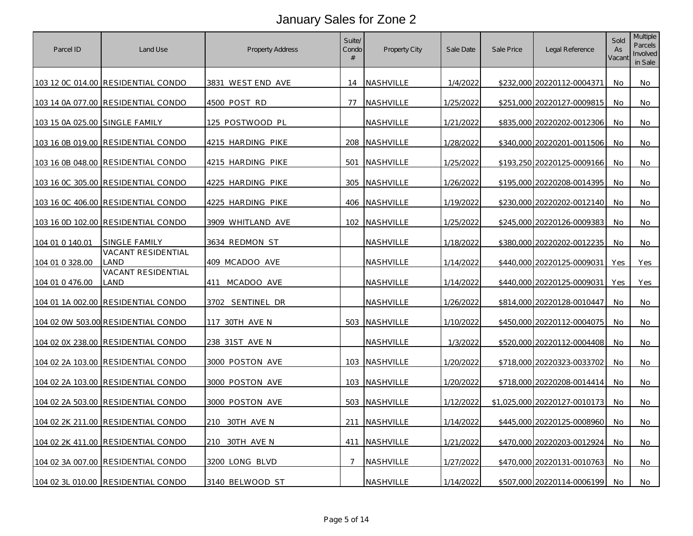| Parcel ID                      | Land Use                                  | Property Address            | Suite/<br>Condo<br># | Property City    | Sale Date        | Sale Price | Legal Reference              | Sold<br>As<br>Vacant | <b>Multiple</b><br>Parcels<br>Involved<br>in Sale |
|--------------------------------|-------------------------------------------|-----------------------------|----------------------|------------------|------------------|------------|------------------------------|----------------------|---------------------------------------------------|
|                                | 103 12 0C 014.00 RESIDENTIAL CONDO        | 3831 WEST END AVE           | 14                   | <b>NASHVILLE</b> | 1/4/2022         |            | \$232,000 20220112-0004371   | No.                  | No                                                |
|                                | 103 14 0A 077.00 RESIDENTIAL CONDO        | 4500 POST RD                | 77                   | NASHVILLE        | 1/25/2022        |            | \$251,000 20220127-0009815   | No.                  | No                                                |
| 103 15 0A 025.00 SINGLE FAMILY |                                           | 125 POSTWOOD PL             |                      | NASHVILLE        | 1/21/2022        |            | \$835,000 20220202-0012306   | No                   | No                                                |
|                                | 103 16 0B 019.00 RESIDENTIAL CONDO        | 4215 HARDING PIKE           |                      | 208 NASHVILLE    | <u>1/28/2022</u> |            | \$340,000 20220201-0011506   | No                   | No                                                |
|                                | 103 16 0B 048.00 RESIDENTIAL CONDO        | 4215 HARDING PIKE           |                      | 501 NASHVILLE    | 1/25/2022        |            | \$193,250 20220125-0009166   | No.                  | No                                                |
|                                | 103 16 0C 305.00 RESIDENTIAL CONDO        | 4225 HARDING PIKE           | 305                  | NASHVILLE        | 1/26/2022        |            | \$195,000 20220208-0014395   | No                   | No                                                |
|                                | <u>103 16 0C 406.00 RESIDENTIAL CONDO</u> | 4225 HARDING PIKE           |                      | 406 NASHVILLE    | 1/19/2022        |            | \$230,000 20220202-0012140   | No.                  | No                                                |
|                                | 103 16 0D 102.00 RESIDENTIAL CONDO        | 3909 WHITLAND AVE           |                      | 102 NASHVILLE    | 1/25/2022        |            | \$245,000 20220126-0009383   | No                   | No                                                |
| 104 01 0 140.01                | SINGLE FAMILY                             | 3634 REDMON ST              |                      | NASHVILLE        | 1/18/2022        |            | \$380,000 20220202-0012235   | No                   | No                                                |
| <u>104 01 0 328.00</u>         | VACANT RESIDENTIAL<br>_and                | 409 MCADOO AVE              |                      | NASHVILLE        | 1/14/2022        |            | \$440,000 20220125-0009031   | Yes                  | Yes                                               |
| 104 01 0 476.00                | VACANT RESIDENTIAL<br>_AND                | 411 MCADOO AVE              |                      | NASHVILLE        | 1/14/2022        |            | \$440,000 20220125-0009031   | Yes                  | Yes                                               |
|                                | 104 01 1A 002.00 RESIDENTIAL CONDO        | <u>SENTINEL DR</u><br>3702. |                      | NASHVILLE        | 1/26/2022        |            | \$814,000 20220128-0010447   | No                   | No                                                |
|                                | 104 02 0W 503.00 RESIDENTIAL CONDO        | 117 30TH AVE N              |                      | 503 NASHVILLE    | 1/10/2022        |            | \$450,000 20220112-0004075   | No                   | No                                                |
|                                | 104 02 0X 238.00 RESIDENTIAL CONDO        | 238 31ST AVE N              |                      | NASHVILLE        | 1/3/2022         |            | \$520,000 20220112-0004408   | No                   | No                                                |
|                                | 104 02 2A 103.00 RESIDENTIAL CONDO        | 3000 POSTON AVE             |                      | 103 NASHVILLE    | 1/20/2022        |            | \$718,000 20220323-0033702   | No                   | No                                                |
|                                | 104 02 2A 103.00 RESIDENTIAL CONDO        | 3000 POSTON AVE             |                      | 103 NASHVILLE    | 1/20/2022        |            | \$718,000 20220208-0014414   | No                   | No                                                |
|                                | 104 02 2A 503.00 RESIDENTIAL CONDO        | 3000 POSTON AVE             |                      | 503 NASHVILLE    | 1/12/2022        |            | \$1,025,000 20220127-0010173 | No                   | No                                                |
|                                | 104 02 2K 211.00 RESIDENTIAL CONDO        | 210 30TH AVE N              |                      | 211 NASHVILLE    | 1/14/2022        |            | \$445,000 20220125-0008960   | No                   | No                                                |
|                                | 104 02 2K 411.00 RESIDENTIAL CONDO        | 210 30TH AVE N              |                      | 411 NASHVILLE    | 1/21/2022        |            | \$470,000 20220203-0012924   | No.                  | No.                                               |
|                                | 104 02 3A 007.00 RESIDENTIAL CONDO        | 3200 LONG BLVD              | 7                    | NASHVILLE        | 1/27/2022        |            | \$470,000 20220131-0010763   | No                   | No                                                |
|                                | 104 02 3L 010.00 RESIDENTIAL CONDO        | 3140 BELWOOD ST             |                      | NASHVILLE        | 1/14/2022        |            | \$507,000 20220114-0006199   | No                   | No                                                |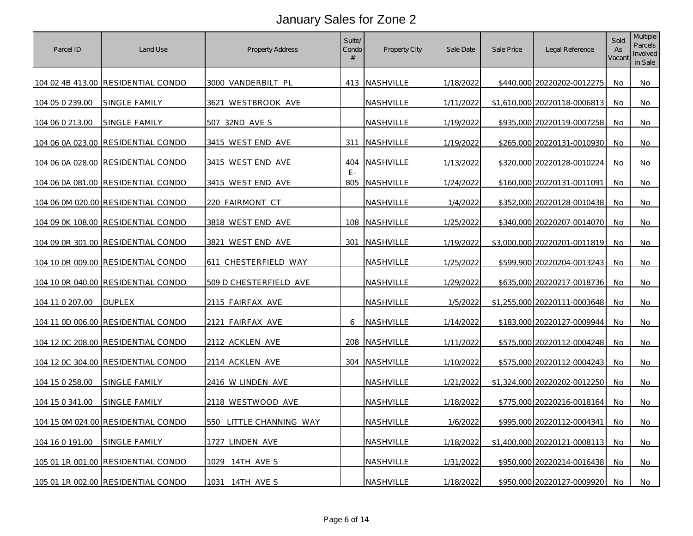| Parcel ID        | Land Use                           | Property Address        | Suite/<br>Condo<br># | Property City    | Sale Date        | Sale Price | Legal Reference              | Sold<br>As<br>Vacant | <b>Multiple</b><br>Parcels<br>Involved<br>in Sale |
|------------------|------------------------------------|-------------------------|----------------------|------------------|------------------|------------|------------------------------|----------------------|---------------------------------------------------|
|                  | 104 02 4B 413.00 RESIDENTIAL CONDO | 3000 VANDERBILT PL      |                      | 413 NASHVILLE    | 1/18/2022        |            | \$440,000 20220202-0012275   | No                   | No                                                |
| 104 05 0 239.00  | SINGLE FAMILY                      | 3621 WESTBROOK AVE      |                      | NASHVILLE        | 1/11/2022        |            | \$1,610,000 20220118-0006813 | No.                  | No                                                |
| 104 06 0 213.00  | SINGLE FAMILY                      | 507 32ND AVE S          |                      | NASHVILLE        | 1/19/2022        |            | \$935,000 20220119-0007258   | No                   | No                                                |
| 104 06 0A 023.00 | <b>RESIDENTIAL CONDO</b>           | 3415 WEST END AVE       |                      | 311 NASHVILLE    | 1/19/2022        |            | \$265,000 20220131-0010930   | No.                  | No                                                |
|                  | 104 06 0A 028.00 RESIDENTIAL CONDO | 3415 WEST END AVE       |                      | 404 NASHVILLE    | 1/13/2022        |            | \$320,000 20220128-0010224   | No                   | No                                                |
|                  | 104 06 0A 081.00 RESIDENTIAL CONDO | 3415 WEST END AVE       | $F -$                | 805 NASHVILLE    | 1/24/2022        |            | \$160,000 20220131-0011091   | No.                  | No                                                |
|                  | 104 06 0M 020.00 RESIDENTIAL CONDO | 220 FAIRMONT CT         |                      | NASHVILLE        | 1/4/2022         |            | \$352,000 20220128-0010438   | No                   | No                                                |
|                  | 104 09 0K 108.00 RESIDENTIAL CONDO | 3818 WEST END AVE       |                      | 108 NASHVILLE    | <u>1/25/2022</u> |            | \$340,000 20220207-0014070   | No                   | No                                                |
|                  | 104 09 0R 301.00 RESIDENTIAL CONDO | 3821 WEST END AVE       | 301                  | NASHVILLE        | 1/19/2022        |            | \$3,000,000 20220201-0011819 | No                   | No                                                |
|                  | 104 10 0R 009.00 RESIDENTIAL CONDO | 611 CHESTERFIELD WAY    |                      | NASHVILLE        | 1/25/2022        |            | \$599,900 20220204-0013243   | No                   | No                                                |
|                  | 104 10 0R 040.00 RESIDENTIAL CONDO | 509 D CHESTERFIELD AVE  |                      | <u>NASHVILLE</u> | 1/29/2022        |            | \$635,000 20220217-0018736   | No                   | No                                                |
| 104 11 0 207.00  | <b>DUPLEX</b>                      | 2115 FAIRFAX AVE        |                      | NASHVILLE        | 1/5/2022         |            | \$1,255,000 20220111-0003648 | No                   | No                                                |
|                  | 104 11 0D 006.00 RESIDENTIAL CONDO | 2121 FAIRFAX AVE        | 6                    | NASHVILLE        | 1/14/2022        |            | \$183,000 20220127-0009944   | No                   | No                                                |
|                  | 104 12 0C 208.00 RESIDENTIAL CONDO | 2112 ACKLEN AVE         |                      | 208 NASHVILLE    | 1/11/2022        |            | \$575,000 20220112-0004248   | No                   | No                                                |
|                  | 104 12 0C 304.00 RESIDENTIAL CONDO | 2114 ACKLEN AVE         |                      | 304 NASHVILLE    | 1/10/2022        |            | \$575,000 20220112-0004243   | No                   | No                                                |
| 104 15 0 258.00  | SINGLE FAMILY                      | 2416 W LINDEN AVE       |                      | NASHVILLE        | 1/21/2022        |            | \$1,324,000 20220202-0012250 | No                   | No                                                |
| 104 15 0 341.00  | SINGLE FAMILY                      | 2118 WESTWOOD AVE       |                      | NASHVILLE        | 1/18/2022        |            | \$775,000 20220216-0018164   | No                   | No                                                |
|                  | 104 15 0M 024.00 RESIDENTIAL CONDO | 550 LITTLE CHANNING WAY |                      | NASHVILLE        | 1/6/2022         |            | \$995,000 20220112-0004341   | No                   | No                                                |
| 104 16 0 191.00  | SINGLE FAMILY                      | <u>1727 LINDEN AVE</u>  |                      | NASHVILLE        | 1/18/2022        |            | \$1,400,000 20220121-0008113 | No                   | No.                                               |
|                  | 105 01 1R 001.00 RESIDENTIAL CONDO | 1029 14TH AVE S         |                      | NASHVILLE        | 1/31/2022        |            | \$950,000 20220214-0016438   | No                   | No                                                |
|                  | 105 01 1R 002.00 RESIDENTIAL CONDO | 1031 14TH AVE S         |                      | NASHVILLE        | 1/18/2022        |            | \$950,000 20220127-0009920   | No.                  | No                                                |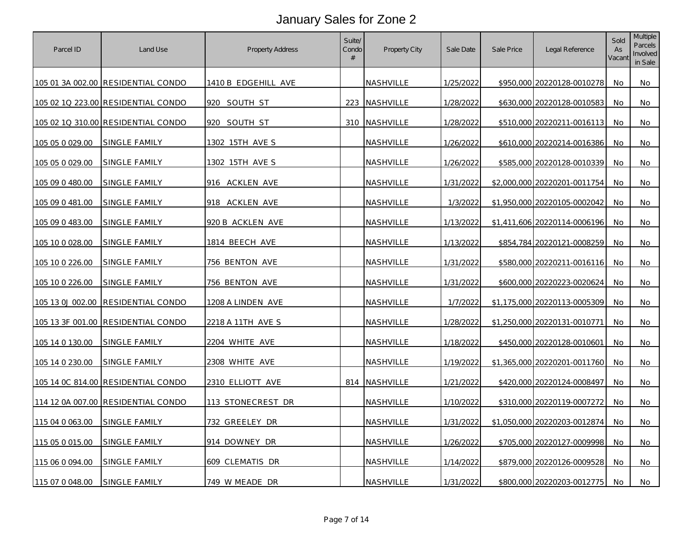| Parcel ID       | Land Use                           | <b>Property Address</b>  | Suite/<br>Condo<br># | Property City    | Sale Date | Sale Price | Legal Reference              | Sold<br>As<br>Vacant | <b>Multiple</b><br>Parcels<br>Involved<br>in Sale |
|-----------------|------------------------------------|--------------------------|----------------------|------------------|-----------|------------|------------------------------|----------------------|---------------------------------------------------|
|                 | 105 01 3A 002.00 RESIDENTIAL CONDO | 1410 B EDGEHILL AVE      |                      | NASHVILLE        | 1/25/2022 |            | \$950,000 20220128-0010278   | No                   | No                                                |
|                 | 105 02 1Q 223.00 RESIDENTIAL CONDO | 920 SOUTH ST             |                      | 223 NASHVILLE    | 1/28/2022 |            | \$630,000 20220128-0010583   | No                   | No                                                |
|                 | 105 02 1Q 310.00 RESIDENTIAL CONDO | 920 SOUTH ST             |                      | 310 NASHVILLE    | 1/28/2022 |            | \$510,000 20220211-0016113   | No                   | No                                                |
| 105 05 0 029.00 | SINGLE FAMILY                      | 1302 15TH AVE S          |                      | NASHVILLE        | 1/26/2022 |            | \$610,000 20220214-0016386   | No                   | No                                                |
| 105 05 0 029.00 | SINGLE FAMILY                      | 1302 15TH AVE S          |                      | NASHVILLE        | 1/26/2022 |            | \$585,000 20220128-0010339   | No                   | No                                                |
| 105 09 0 480.00 | SINGLE FAMILY                      | 916 ACKLEN AVE           |                      | NASHVILLE        | 1/31/2022 |            | \$2,000,000 20220201-0011754 | No                   | No                                                |
| 105 09 0 481.00 | SINGLE FAMILY                      | 918 ACKLEN AVE           |                      | NASHVILLE        | 1/3/2022  |            | \$1,950,000 20220105-0002042 | No.                  | No                                                |
| 105 09 0 483.00 | SINGLE FAMILY                      | 920 B ACKLEN AVE         |                      | NASHVILLE        | 1/13/2022 |            | \$1,411,606 20220114-0006196 | No.                  | No                                                |
| 105 10 0 028.00 | SINGLE FAMILY                      | 1814 BEECH AVE           |                      | NASHVILLE        | 1/13/2022 |            | \$854,784 20220121-0008259   | No                   | No                                                |
| 105 10 0 226.00 | SINGLE FAMILY                      | 756 BENTON AVE           |                      | NASHVILLE        | 1/31/2022 |            | \$580,000 20220211-0016116   | No                   | No                                                |
| 105 10 0 226.00 | SINGLE FAMILY                      | 756 BENTON AVE           |                      | NASHVILLE        | 1/31/2022 |            | \$600,000 20220223-0020624   | No                   | No                                                |
|                 | 105 13 0J 002.00 RESIDENTIAL CONDO | <u>1208 A LINDEN AVE</u> |                      | <b>NASHVILLE</b> | 1/7/2022  |            | \$1,175,000 20220113-0005309 | No.                  | No                                                |
|                 | 105 13 3F 001.00 RESIDENTIAL CONDO | 2218 A 11TH AVE S        |                      | NASHVILLE        | 1/28/2022 |            | \$1,250,000 20220131-0010771 | No                   | No                                                |
| 105 14 0 130.00 | SINGLE FAMILY                      | 2204 WHITE AVE           |                      | NASHVILLE        | 1/18/2022 |            | \$450,000 20220128-0010601   | No                   | No                                                |
| 105 14 0 230.00 | SINGLE FAMILY                      | 2308 WHITE AVE           |                      | NASHVILLE        | 1/19/2022 |            | \$1,365,000 20220201-0011760 | No.                  | No                                                |
|                 | 105 14 OC 814.00 RESIDENTIAL CONDO | 2310 ELLIOTT AVE         |                      | 814 NASHVILLE    | 1/21/2022 |            | \$420,000 20220124-0008497   | No                   | No                                                |
|                 | 114 12 0A 007.00 RESIDENTIAL CONDO | 113 STONECREST DR        |                      | NASHVILLE        | 1/10/2022 |            | \$310,000 20220119-0007272   | No                   | No                                                |
| 115 04 0 063.00 | SINGLE FAMILY                      | 732 GREELEY DR           |                      | NASHVILLE        | 1/31/2022 |            | \$1,050,000 20220203-0012874 | No                   | No                                                |
| 115 05 0 015.00 | SINGLE FAMILY                      | 914 DOWNEY DR            |                      | NASHVILLE        | 1/26/2022 |            | \$705,000 20220127-0009998   | No                   | No.                                               |
| 115 06 0 094.00 | SINGLE FAMILY                      | 609 CLEMATIS DR          |                      | NASHVILLE        | 1/14/2022 |            | \$879,000 20220126-0009528   | No                   | No                                                |
| 115 07 0 048.00 | SINGLE FAMILY                      | 749 W MEADE DR           |                      | NASHVILLE        | 1/31/2022 |            | \$800,000 20220203-0012775   | No.                  | No                                                |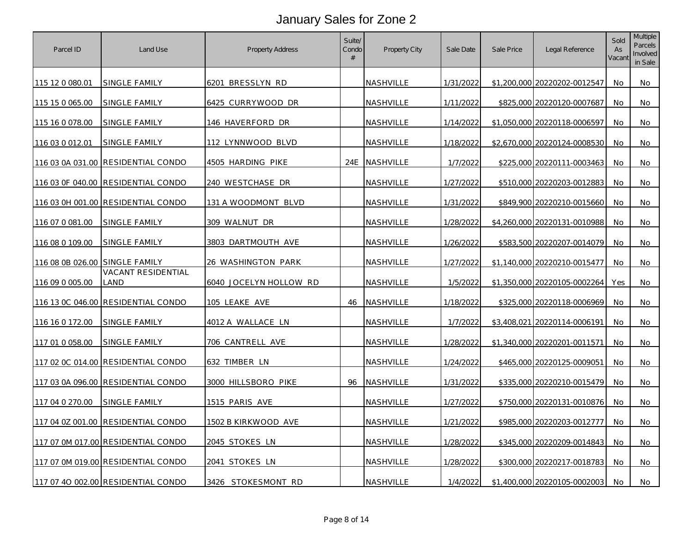| Parcel ID        | Land Use                           | Property Address       | Suite/<br>Condo<br># | Property City    | Sale Date | Sale Price | Legal Reference              | Sold<br>As<br>Vacant | <b>Multiple</b><br>Parcels<br>Involved<br>in Sale |
|------------------|------------------------------------|------------------------|----------------------|------------------|-----------|------------|------------------------------|----------------------|---------------------------------------------------|
| 115 12 0 080.01  | SINGLE FAMILY                      | 6201 BRESSLYN RD       |                      | <b>NASHVILLE</b> | 1/31/2022 |            | \$1,200,000 20220202-0012547 | No                   | No                                                |
| 115 15 0 065.00  | SINGLE FAMILY                      | 6425 CURRYWOOD DR      |                      | NASHVILLE        | 1/11/2022 |            | \$825,000 20220120-0007687   | No                   | No                                                |
| 115 16 0 078.00  | SINGLE FAMILY                      | 146 HAVERFORD DR       |                      | NASHVILLE        | 1/14/2022 |            | \$1,050,000 20220118-0006597 | No                   | No                                                |
| 116 03 0 012.01  | SINGLE FAMILY                      | 112 LYNNWOOD BLVD      |                      | NASHVILLE        | 1/18/2022 |            | \$2,670,000 20220124-0008530 | No.                  | No                                                |
|                  | 116 03 0A 031.00 RESIDENTIAL CONDO | 4505 HARDING PIKE      |                      | 24E NASHVILLE    | 1/7/2022  |            | \$225,000 20220111-0003463   | No                   | No                                                |
| 116 03 OF 040.00 | RESIDENTIAL CONDO                  | 240 WESTCHASE DR       |                      | NASHVILLE        | 1/27/2022 |            | \$510,000 20220203-0012883   | No                   | No                                                |
|                  | 116 03 0H 001.00 RESIDENTIAL CONDO | 131 A WOODMONT BLVD    |                      | NASHVILLE        | 1/31/2022 |            | \$849,900 20220210-0015660   | No                   | No                                                |
| 116 07 0 081.00  | SINGLE FAMILY                      | 309 WALNUT DR          |                      | NASHVILLE        | 1/28/2022 |            | \$4,260,000 20220131-0010988 | No                   | No                                                |
| 116 08 0 109.00  | SINGLE FAMILY                      | 3803 DARTMOUTH AVE     |                      | NASHVILLE        | 1/26/2022 |            | \$583,500 20220207-0014079   | No                   | No                                                |
| 116 08 0B 026.00 | SINGLE FAMILY                      | 26 WASHINGTON PARK     |                      | NASHVILLE        | 1/27/2022 |            | \$1,140,000 20220210-0015477 | No                   | No                                                |
| 116 09 0 005.00  | <b>VACANT RESIDENTIAL</b><br>LAND  | 6040 JOCELYN HOLLOW RD |                      | NASHVILLE        | 1/5/2022  |            | \$1,350,000 20220105-0002264 | Yes                  | No                                                |
|                  | 116 13 0C 046.00 RESIDENTIAL CONDO | 105 LEAKE AVE          | 46                   | NASHVILLE        | 1/18/2022 |            | \$325,000 20220118-0006969   | No.                  | No.                                               |
| 116 16 0 172.00  | SINGLE FAMILY                      | 4012 A WALLACE LN      |                      | NASHVILLE        | 1/7/2022  |            | \$3,408,021 20220114-0006191 | No                   | No                                                |
| 117 01 0 058.00  | SINGLE FAMILY                      | 706 CANTRELL AVE       |                      | NASHVILLE        | 1/28/2022 |            | \$1,340,000 20220201-0011571 | No                   | No                                                |
|                  | 117 02 0C 014.00 RESIDENTIAL CONDO | 632 TIMBER LN          |                      | NASHVILLE        | 1/24/2022 |            | \$465,000 20220125-0009051   | No                   | No                                                |
| 117 03 0A 096.00 | <b>RESIDENTIAL CONDO</b>           | 3000 HILLSBORO PIKE    | 96                   | NASHVILLE        | 1/31/2022 |            | \$335,000 20220210-0015479   | No                   | No                                                |
| 117 04 0 270.00  | SINGLE FAMILY                      | 1515 PARIS AVE         |                      | <u>NASHVILLE</u> | 1/27/2022 |            | \$750,000 20220131-0010876   | No                   | No                                                |
| 117 04 0Z 001.00 | <b>RESIDENTIAL CONDO</b>           | 1502 B KIRKWOOD AVE    |                      | NASHVILLE        | 1/21/2022 |            | \$985,000 20220203-0012777   | No.                  | No                                                |
|                  | 117 07 0M 017.00 RESIDENTIAL CONDO | 2045 STOKES LN         |                      | NASHVILLE        | 1/28/2022 |            | \$345,000 20220209-0014843   | No                   | No                                                |
|                  | 117 07 0M 019.00 RESIDENTIAL CONDO | 2041 STOKES LN         |                      | NASHVILLE        | 1/28/2022 |            | \$300,000 20220217-0018783   | No                   | No                                                |
|                  | 117 07 40 002.00 RESIDENTIAL CONDO | 3426 STOKESMONT RD     |                      | NASHVILLE        | 1/4/2022  |            | \$1,400,000 20220105-0002003 | No.                  | No                                                |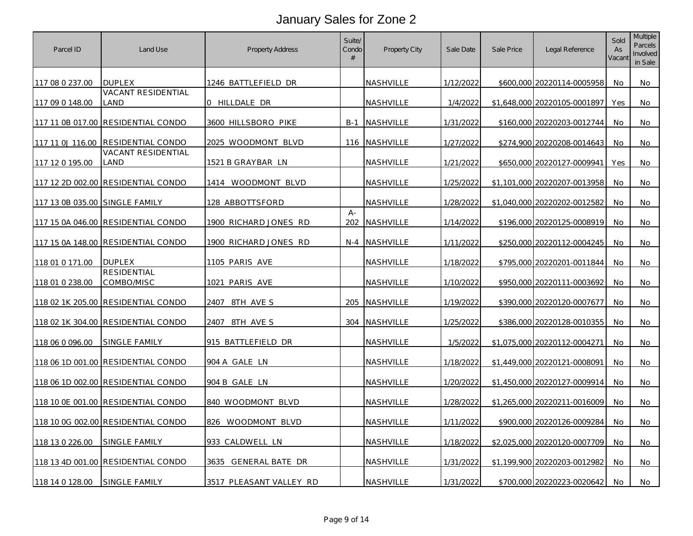| Parcel ID                      | Land Use                           | <b>Property Address</b>  | Suite/<br>Condo<br># | Property City        | Sale Date | Sale Price | Legal Reference              | Sold<br>As<br>Vacant | <b>Multiple</b><br>Parcels<br>Involved<br>in Sale |
|--------------------------------|------------------------------------|--------------------------|----------------------|----------------------|-----------|------------|------------------------------|----------------------|---------------------------------------------------|
| 117 08 0 237.00                | DUPLEX                             | 1246 BATTLEFIELD DR      |                      | NASHVILLE            | 1/12/2022 |            | \$600,000 20220114-0005958   | No                   | No                                                |
| 117 09 0 148.00                | VACANT RESIDENTIAL<br>land         | 0 HILLDALE DR            |                      | NASHVILLE            | 1/4/2022  |            | \$1,648,000 20220105-0001897 | Yes                  | No                                                |
| 117 11 0B 017.00               | RESIDENTIAL CONDO                  | 3600 HILLSBORO PIKE      |                      | <b>B-1 NASHVILLE</b> | 1/31/2022 |            | \$160,000 20220203-0012744   | No                   | No                                                |
| 117 11 0J 116.00               | RESIDENTIAL CONDO                  | 2025 WOODMONT BLVD       |                      | 116 NASHVILLE        | 1/27/2022 |            | \$274,900 20220208-0014643   | No                   | No                                                |
| 117 12 0 195.00                | VACANT RESIDENTIAL<br>LAND         | <u>1521 B GRAYBAR LN</u> |                      | NASHVILLE            | 1/21/2022 |            | \$650,000 20220127-0009941   | <b>Yes</b>           | No                                                |
|                                | 117 12 2D 002.00 RESIDENTIAL CONDO | 1414 WOODMONT BLVD       |                      | NASHVILLE            | 1/25/2022 |            | \$1,101,000 20220207-0013958 | No                   | No.                                               |
| 117 13 0B 035.00 SINGLE FAMILY |                                    | 128 ABBOTTSFORD          |                      | NASHVILLE            | 1/28/2022 |            | \$1,040,000 20220202-0012582 | No                   | No                                                |
|                                | 117 15 0A 046.00 RESIDENTIAL CONDO | 1900 RICHARD JONES RD    | $A -$                | 202 NASHVILLE        | 1/14/2022 |            | \$196,000 20220125-0008919   | No                   | No                                                |
|                                | 117 15 0A 148.00 RESIDENTIAL CONDO | 1900 RICHARD JONES RD    |                      | N-4 NASHVILLE        | 1/11/2022 |            | \$250,000 20220112-0004245   | No                   | No                                                |
| 118 01 0 171.00                | <b>DUPLEX</b>                      | 1105 PARIS AVE           |                      | NASHVILLE            | 1/18/2022 |            | \$795,000 20220201-0011844   | No                   | No                                                |
| 118 01 0 238.00                | RESIDENTIAL<br>COMBO/MISC          | 1021 PARIS AVE           |                      | NASHVILLE            | 1/10/2022 |            | \$950,000 20220111-0003692   | No                   | No                                                |
| 118 02 1K 205.00               | <b>RESIDENTIAL CONDO</b>           | 2407<br>8TH AVE S        |                      | 205 NASHVILLE        | 1/19/2022 |            | \$390,000 20220120-0007677   | No                   | No                                                |
|                                | 118 02 1K 304.00 RESIDENTIAL CONDO | 2407<br>8TH AVE S        |                      | 304 NASHVILLE        | 1/25/2022 |            | \$386,000 20220128-0010355   | No                   | No                                                |
| 118 06 0 096.00                | SINGLE FAMILY                      | 915 BATTLEFIELD DR       |                      | NASHVILLE            | 1/5/2022  |            | \$1,075,000 20220112-0004271 | No                   | No                                                |
|                                | 118 06 1D 001.00 RESIDENTIAL CONDO | 904 A GALE LN            |                      | NASHVILLE            | 1/18/2022 |            | \$1,449,000 20220121-0008091 | No                   | No                                                |
|                                | 118 06 1D 002.00 RESIDENTIAL CONDO | 904 B GALE LN            |                      | NASHVILLE            | 1/20/2022 |            | \$1,450,000 20220127-0009914 | No                   | No                                                |
|                                | 118 10 0E 001.00 RESIDENTIAL CONDO | 840 WOODMONT BLVD        |                      | <u>NASHVILLE</u>     | 1/28/2022 |            | \$1,265,000 20220211-0016009 | No                   | No                                                |
|                                | 118 10 0G 002.00 RESIDENTIAL CONDO | 826 WOODMONT BLVD        |                      | NASHVILLE            | 1/11/2022 |            | \$900,000 20220126-0009284   | No                   | No                                                |
| 118 13 0 226.00                | SINGLE FAMILY                      | 933 CALDWELL LN          |                      | NASHVILLE            | 1/18/2022 |            | \$2,025,000 20220120-0007709 | No                   | No                                                |
|                                | 118 13 4D 001.00 RESIDENTIAL CONDO | 3635 GENERAL BATE DR     |                      | NASHVILLE            | 1/31/2022 |            | \$1,199,900 20220203-0012982 | <b>No</b>            | No                                                |
| 118 14 0 128.00                | SINGLE FAMILY                      | 3517 PLEASANT VALLEY RD  |                      | NASHVILLE            | 1/31/2022 |            | \$700,000 20220223-0020642   | No.                  | No                                                |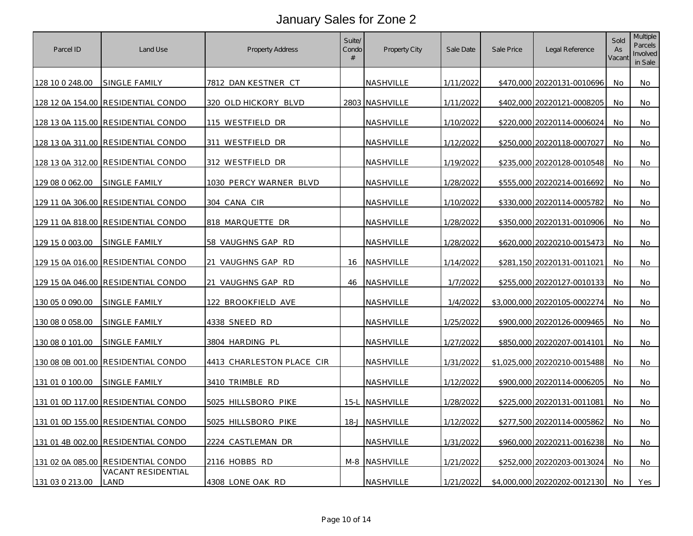| Parcel ID       | Land Use                           | <b>Property Address</b>   | Suite/<br>Condo<br># | Property City    | Sale Date | Sale Price | Legal Reference              | Sold<br>As<br>Vacant | <b>Multiple</b><br>Parcels<br>Involved<br>in Sale |
|-----------------|------------------------------------|---------------------------|----------------------|------------------|-----------|------------|------------------------------|----------------------|---------------------------------------------------|
| 128 10 0 248.00 | SINGLE FAMILY                      | 7812 DAN KESTNER CT       |                      | NASHVILLE        | 1/11/2022 |            | \$470,000 20220131-0010696   | No                   | No                                                |
|                 | 128 12 0A 154.00 RESIDENTIAL CONDO | 320 OLD HICKORY BLVD      |                      | 2803 NASHVILLE   | 1/11/2022 |            | \$402,000 20220121-0008205   | No                   | No                                                |
|                 | 128 13 0A 115.00 RESIDENTIAL CONDO | 115 WESTFIELD DR          |                      | NASHVILLE        | 1/10/2022 |            | \$220,000 20220114-0006024   | No                   | No                                                |
|                 | 128 13 0A 311.00 RESIDENTIAL CONDO | 311 WESTFIELD DR          |                      | NASHVILLE        | 1/12/2022 |            | \$250,000 20220118-0007027   | No                   | No                                                |
|                 | 128 13 0A 312.00 RESIDENTIAL CONDO | 312 WESTFIELD DR          |                      | NASHVILLE        | 1/19/2022 |            | \$235,000 20220128-0010548   | No                   | No.                                               |
| 129 08 0 062.00 | SINGLE FAMILY                      | 1030 PERCY WARNER BLVD    |                      | NASHVILLE        | 1/28/2022 |            | \$555,000 20220214-0016692   | No                   | No                                                |
|                 | 129 11 0A 306.00 RESIDENTIAL CONDO | 304 CANA CIR              |                      | NASHVILLE        | 1/10/2022 |            | \$330,000 20220114-0005782   | No.                  | No                                                |
|                 | 129 11 0A 818.00 RESIDENTIAL CONDO | 818 MARQUETTE DR          |                      | NASHVILLE        | 1/28/2022 |            | \$350,000 20220131-0010906   | No.                  | No                                                |
| 129 15 0 003.00 | SINGLE FAMILY                      | 58 VAUGHNS GAP RD         |                      | NASHVILLE        | 1/28/2022 |            | \$620,000 20220210-0015473   | No                   | No                                                |
|                 | 129 15 0A 016.00 RESIDENTIAL CONDO | 21<br>VAUGHNS GAP RD      | 16                   | <b>NASHVILLE</b> | 1/14/2022 |            | \$281,150 20220131-0011021   | No.                  | No                                                |
|                 | 129 15 0A 046.00 RESIDENTIAL CONDO | VAUGHNS GAP RD<br>21      |                      | 46 NASHVILLE     | 1/7/2022  |            | \$255,000 20220127-0010133   | No                   | No                                                |
| 130 05 0 090.00 | <u>SINGLE FAMILY</u>               | 122 BROOKFIELD AVE        |                      | <b>NASHVILLE</b> | 1/4/2022  |            | \$3,000,000 20220105-0002274 | No.                  | No                                                |
| 130 08 0 058.00 | SINGLE FAMILY                      | 4338 SNEED RD             |                      | NASHVILLE        | 1/25/2022 |            | \$900,000 20220126-0009465   | No                   | No                                                |
| 130 08 0 101.00 | SINGLE FAMILY                      | 3804 HARDING PL           |                      | NASHVILLE        | 1/27/2022 |            | \$850,000 20220207-0014101   | No                   | No                                                |
|                 | 130 08 0B 001.00 RESIDENTIAL CONDO | 4413 CHARLESTON PLACE CIR |                      | NASHVILLE        | 1/31/2022 |            | \$1,025,000 20220210-0015488 | No.                  | No                                                |
| 131 01 0 100.00 | SINGLE FAMILY                      | 3410 TRIMBLE RD           |                      | NASHVILLE        | 1/12/2022 |            | \$900,000 20220114-0006205   | No                   | No                                                |
|                 | 131 01 0D 117.00 RESIDENTIAL CONDO | 5025 HILLSBORO PIKE       |                      | 15-L NASHVILLE   | 1/28/2022 |            | \$225,000 20220131-0011081   | No                   | No                                                |
|                 | 131 01 0D 155.00 RESIDENTIAL CONDO | 5025 HILLSBORO PIKE       |                      | 18-J NASHVILLE   | 1/12/2022 |            | \$277,500 20220114-0005862   | No                   | No                                                |
|                 | 131 01 4B 002.00 RESIDENTIAL CONDO | 2224 CASTLEMAN DR         |                      | NASHVILLE        | 1/31/2022 |            | \$960,000 20220211-0016238   | No                   | No.                                               |
|                 | 131 02 0A 085.00 RESIDENTIAL CONDO | 2116 HOBBS RD             |                      | M-8 NASHVILLE    | 1/21/2022 |            | \$252,000 20220203-0013024   | <b>No</b>            | No                                                |
| 131 03 0 213.00 | VACANT RESIDENTIAL<br>land         | 4308 LONE OAK RD          |                      | NASHVILLE        | 1/21/2022 |            | \$4,000,000 20220202-0012130 | No.                  | Yes                                               |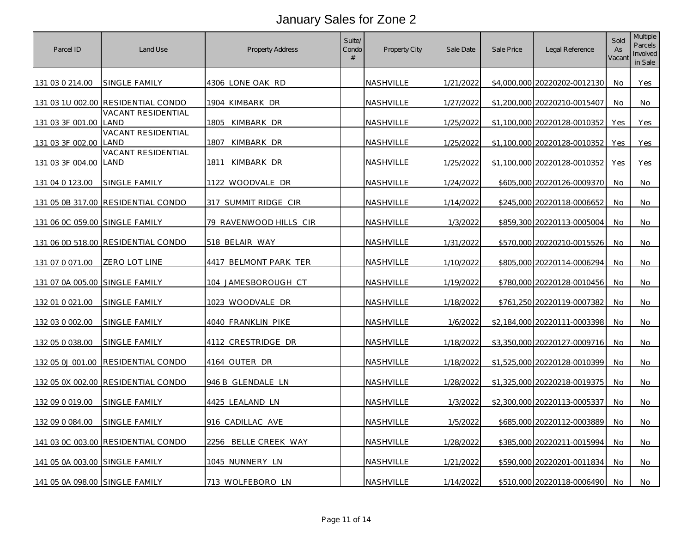| Parcel ID                      | Land Use                           | Property Address       | Suite/<br>Condo<br># | Property City    | Sale Date | Sale Price | Legal Reference              | Sold<br>As<br>Vacant | <b>Multiple</b><br>Parcels<br>Involved<br>in Sale |
|--------------------------------|------------------------------------|------------------------|----------------------|------------------|-----------|------------|------------------------------|----------------------|---------------------------------------------------|
| 131 03 0 214.00                | SINGLE FAMILY                      | 4306 LONE OAK RD       |                      | NASHVILLE        | 1/21/2022 |            | \$4,000,000 20220202-0012130 | No                   | Yes                                               |
|                                | 131 03 1U 002.00 RESIDENTIAL CONDO | 1904 KIMBARK DR        |                      | NASHVILLE        | 1/27/2022 |            | \$1,200,000 20220210-0015407 | No                   | No                                                |
| 131 03 3F 001.00               | VACANT RESIDENTIAL<br>LAND         | 1805 KIMBARK DR        |                      | <b>NASHVILLE</b> | 1/25/2022 |            | \$1,100,000 20220128-0010352 | Yes                  | Yes                                               |
| 131 03 3F 002.00               | VACANT RESIDENTIAL<br>LAND         | KIMBARK DR<br>1807     |                      | NASHVILLE        | 1/25/2022 |            | \$1,100,000 20220128-0010352 | <b>Yes</b>           | Yes                                               |
| 131 03 3F 004.00               | VACANT RESIDENTIAL<br>LAND         | <u>1811 KIMBARK DR</u> |                      | NASHVILLE        | 1/25/2022 |            | \$1,100,000 20220128-0010352 | Yes                  | <b>Yes</b>                                        |
| 131 04 0 123.00                | SINGLE FAMILY                      | 1122 WOODVALE DR       |                      | <b>NASHVILLE</b> | 1/24/2022 |            | \$605,000 20220126-0009370   | No                   | No                                                |
|                                | 131 05 0B 317.00 RESIDENTIAL CONDO | 317 SUMMIT RIDGE CIR   |                      | <b>NASHVILLE</b> | 1/14/2022 |            | \$245,000 20220118-0006652   | No                   | No                                                |
| 131 06 0C 059.00 SINGLE FAMILY |                                    | 79 RAVENWOOD HILLS CIR |                      | <b>NASHVILLE</b> | 1/3/2022  |            | \$859,300 20220113-0005004   | No.                  | No                                                |
|                                | 131 06 0D 518.00 RESIDENTIAL CONDO | 518 BELAIR WAY         |                      | NASHVILLE        | 1/31/2022 |            | \$570,000 20220210-0015526   | No                   | No                                                |
| 131 07 0 071.00                | ZERO LOT LINE                      | 4417 BELMONT PARK TER  |                      | NASHVILLE        | 1/10/2022 |            | \$805,000 20220114-0006294   | No                   | No                                                |
| 131 07 0A 005.00 SINGLE FAMILY |                                    | 104 JAMESBOROUGH CT    |                      | <b>NASHVILLE</b> | 1/19/2022 |            | \$780,000 20220128-0010456   | No                   | No                                                |
| 132 01 0 021.00                | SINGLE FAMILY                      | 1023 WOODVALE DR       |                      | NASHVILLE        | 1/18/2022 |            | \$761,250 20220119-0007382   | No.                  | No                                                |
| 132 03 0 002.00                | SINGLE FAMILY                      | 4040 FRANKLIN PIKE     |                      | NASHVILLE        | 1/6/2022  |            | \$2,184,000 20220111-0003398 | No.                  | No                                                |
| 132 05 0 038.00                | SINGLE FAMILY                      | 4112 CRESTRIDGE DR     |                      | NASHVILLE        | 1/18/2022 |            | \$3,350,000 20220127-0009716 | No                   | No                                                |
| 132 05 0J 001.00               | RESIDENTIAL CONDO                  | 4164 OUTER DR          |                      | NASHVILLE        | 1/18/2022 |            | \$1,525,000 20220128-0010399 | No                   | No                                                |
|                                | 132 05 0X 002.00 RESIDENTIAL CONDO | 946 B GLENDALE LN      |                      | <b>NASHVILLE</b> | 1/28/2022 |            | \$1,325,000 20220218-0019375 | No                   | No                                                |
| 132 09 0 019.00                | SINGLE FAMILY                      | 4425 LEALAND LN        |                      | NASHVILLE        | 1/3/2022  |            | \$2,300,000 20220113-0005337 | No                   | No                                                |
| 132 09 0 084.00                | <b>SINGLE FAMILY</b>               | 916 CADILLAC AVE       |                      | NASHVILLE        | 1/5/2022  |            | \$685,000 20220112-0003889   | No                   | No                                                |
|                                | 141 03 0C 003.00 RESIDENTIAL CONDO | 2256 BELLE CREEK WAY   |                      | NASHVILLE        | 1/28/2022 |            | \$385,000 20220211-0015994   | No                   | No                                                |
| 141 05 0A 003.00 SINGLE FAMILY |                                    | 1045 NUNNERY LN        |                      | NASHVILLE        | 1/21/2022 |            | \$590,000 20220201-0011834   | No                   | No                                                |
| 141 05 0A 098.00 SINGLE FAMILY |                                    | 713 WOLFEBORO LN       |                      | NASHVILLE        | 1/14/2022 |            | \$510,000 20220118-0006490   | No                   | No                                                |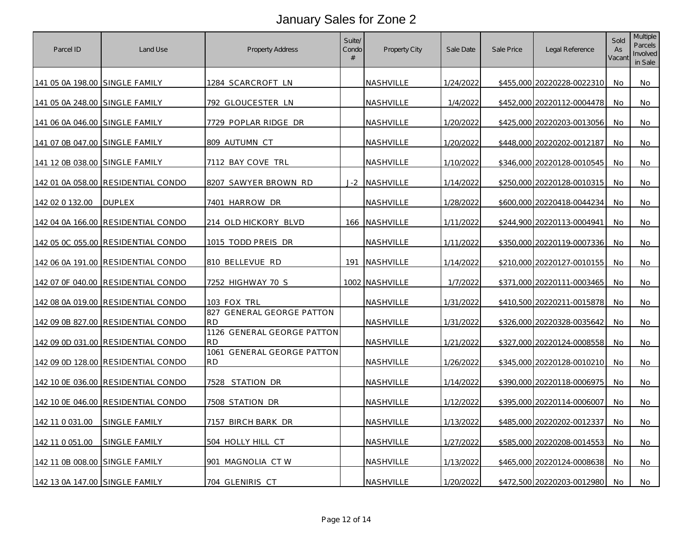| Parcel ID                      | Land Use                           | Property Address                        | Suite/<br>Condo<br># | Property City    | Sale Date | Sale Price | Legal Reference            | Sold<br>As<br>Vacant | <b>Multiple</b><br>Parcels<br>Involved<br>in Sale |
|--------------------------------|------------------------------------|-----------------------------------------|----------------------|------------------|-----------|------------|----------------------------|----------------------|---------------------------------------------------|
| 141 05 0A 198.00 SINGLE FAMILY |                                    | 1284 SCARCROFT LN                       |                      | NASHVILLE        | 1/24/2022 |            | \$455,000 20220228-0022310 | No                   | No                                                |
| 141 05 0A 248.00 SINGLE FAMILY |                                    | 792 GLOUCESTER LN                       |                      | NASHVILLE        | 1/4/2022  |            | \$452,000 20220112-0004478 | No                   | No                                                |
| 141 06 0A 046.00 SINGLE FAMILY |                                    | 7729 POPLAR RIDGE DR                    |                      | <b>NASHVILLE</b> | 1/20/2022 |            | \$425,000 20220203-0013056 | No                   | No                                                |
| 141 07 0B 047.00 SINGLE FAMILY |                                    | 809 AUTUMN CT                           |                      | NASHVILLE        | 1/20/2022 |            | \$448,000 20220202-0012187 | No.                  | No                                                |
| 141 12 0B 038.00 SINGLE FAMILY |                                    | 7112 BAY COVE TRL                       |                      | <b>NASHVILLE</b> | 1/10/2022 |            | \$346,000 20220128-0010545 | No                   | No                                                |
| 142 01 0A 058.00               | <b>RESIDENTIAL CONDO</b>           | 8207 SAWYER BROWN RD                    |                      | J-2 NASHVILLE    | 1/14/2022 |            | \$250,000 20220128-0010315 | No                   | No                                                |
| 142 02 0 132.00                | <b>DUPLEX</b>                      | 7401 HARROW DR                          |                      | NASHVILLE        | 1/28/2022 |            | \$600,000 20220418-0044234 | No                   | No                                                |
| 142 04 0A 166.00               | <b>RESIDENTIAL CONDO</b>           | 214 OLD HICKORY BLVD                    |                      | 166 NASHVILLE    | 1/11/2022 |            | \$244,900 20220113-0004941 | No.                  | No.                                               |
|                                | 142 05 0C 055.00 RESIDENTIAL CONDO | 1015 TODD PREIS DR                      |                      | NASHVILLE        | 1/11/2022 |            | \$350,000 20220119-0007336 | No                   | No                                                |
| 142 06 0A 191.00               | <b>RESIDENTIAL CONDO</b>           | 810 BELLEVUE RD                         |                      | 191 NASHVILLE    | 1/14/2022 |            | \$210,000 20220127-0010155 | No                   | No                                                |
|                                | 142 07 0F 040.00 RESIDENTIAL CONDO | 7252 HIGHWAY 70 S                       |                      | 1002 NASHVILLE   | 1/7/2022  |            | \$371,000 20220111-0003465 | No                   | No                                                |
|                                | 142 08 0A 019.00 RESIDENTIAL CONDO | 103 FOX TRL                             |                      | NASHVILLE        | 1/31/2022 |            | \$410,500 20220211-0015878 | No.                  | No                                                |
|                                | 142 09 0B 827.00 RESIDENTIAL CONDO | 827 GENERAL GEORGE PATTON<br><b>RD</b>  |                      | NASHVILLE        | 1/31/2022 |            | \$326,000 20220328-0035642 | No.                  | No                                                |
|                                | 142 09 0D 031.00 RESIDENTIAL CONDO | 1126 GENERAL GEORGE PATTON<br><b>RD</b> |                      | NASHVILLE        | 1/21/2022 |            | \$327,000 20220124-0008558 | No                   | No                                                |
|                                | 142 09 0D 128.00 RESIDENTIAL CONDO | 1061 GENERAL GEORGE PATTON<br><b>RD</b> |                      | NASHVILLE        | 1/26/2022 |            | \$345,000 20220128-0010210 | No.                  | No                                                |
|                                | 142 10 0E 036.00 RESIDENTIAL CONDO | 7528 STATION DR                         |                      | <b>NASHVILLE</b> | 1/14/2022 |            | \$390,000 20220118-0006975 | No                   | No                                                |
|                                | 142 10 0E 046.00 RESIDENTIAL CONDO | 7508 STATION DR                         |                      | NASHVILLE        | 1/12/2022 |            | \$395,000 20220114-0006007 | No                   | No                                                |
| 142 11 0 031 00                | SINGLE FAMILY                      | 7157 BIRCH BARK DR                      |                      | NASHVILLE        | 1/13/2022 |            | \$485,000 20220202-0012337 | No                   | No                                                |
| 142 11 0 051.00                | SINGLE FAMILY                      | 504 HOLLY HILL CT                       |                      | NASHVILLE        | 1/27/2022 |            | \$585,000 20220208-0014553 | No                   | No                                                |
| 142 11 0B 008.00 SINGLE FAMILY |                                    | 901 MAGNOLIA CTW                        |                      | NASHVILLE        | 1/13/2022 |            | \$465,000 20220124-0008638 | No                   | No                                                |
| 142 13 0A 147.00 SINGLE FAMILY |                                    | 704 GLENIRIS CT                         |                      | NASHVILLE        | 1/20/2022 |            | \$472,500 20220203-0012980 | No.                  | No                                                |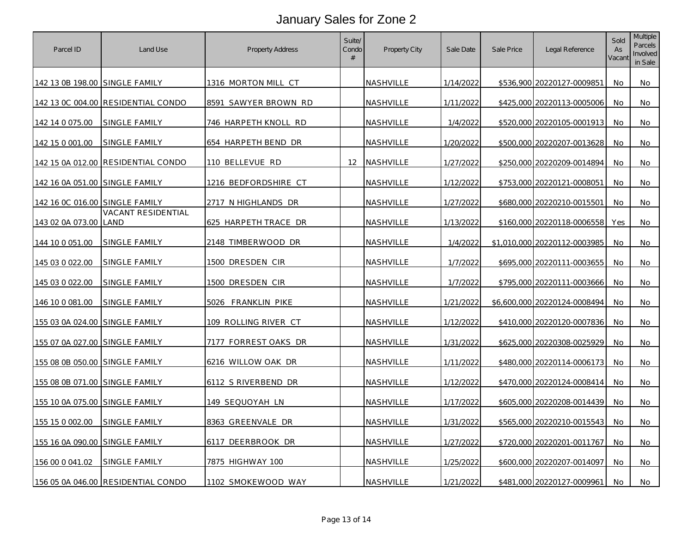| Parcel ID                      | Land Use                           | Property Address     | Suite/<br>Condo<br># | Property City    | Sale Date | Sale Price | Legal Reference              | Sold<br>As<br>Vacant | <b>Multiple</b><br>Parcels<br>Involved<br>in Sale |
|--------------------------------|------------------------------------|----------------------|----------------------|------------------|-----------|------------|------------------------------|----------------------|---------------------------------------------------|
| 142 13 0B 198.00 SINGLE FAMILY |                                    | 1316 MORTON MILL CT  |                      | NASHVILLE        | 1/14/2022 |            | \$536,900 20220127-0009851   | No                   | No                                                |
|                                | 142 13 0C 004.00 RESIDENTIAL CONDO | 8591 SAWYER BROWN RD |                      | NASHVILLE        | 1/11/2022 |            | \$425,000 20220113-0005006   | No                   | No                                                |
| 142 14 0 075.00                | SINGLE FAMILY                      | 746 HARPETH KNOLL RD |                      | <b>NASHVILLE</b> | 1/4/2022  |            | \$520,000 20220105-0001913   | No                   | No                                                |
| 142 15 0 001.00                | SINGLE FAMILY                      | 654 HARPETH BEND DR  |                      | NASHVILLE        | 1/20/2022 |            | \$500,000 20220207-0013628   | No                   | No                                                |
|                                | 142 15 0A 012.00 RESIDENTIAL CONDO | 110 BELLEVUE RD      |                      | 12 NASHVILLE     | 1/27/2022 |            | \$250,000 20220209-0014894   | No                   | No                                                |
| 142 16 0A 051.00               | SINGLE FAMILY                      | 1216 BEDFORDSHIRE CT |                      | <b>NASHVILLE</b> | 1/12/2022 |            | \$753,000 20220121-0008051   | No                   | No                                                |
| 142 16 0C 016.00 SINGLE FAMILY |                                    | 2717 N HIGHLANDS DR  |                      | NASHVILLE        | 1/27/2022 |            | \$680,000 20220210-0015501   | No                   | No                                                |
| 143 02 0A 073.00               | <b>VACANT RESIDENTIAL</b><br>LAND  | 625 HARPETH TRACE DR |                      | NASHVILLE        | 1/13/2022 |            | \$160,000 20220118-0006558   | Yes                  | No.                                               |
| 144 10 0 051.00                | SINGLE FAMILY                      | 2148 TIMBERWOOD DR   |                      | NASHVILLE        | 1/4/2022  |            | \$1,010,000 20220112-0003985 | No                   | No                                                |
| 145 03 0 022.00                | SINGLE FAMILY                      | 1500 DRESDEN CIR     |                      | NASHVILLE        | 1/7/2022  |            | \$695,000 20220111-0003655   | No.                  | No                                                |
| 145 03 0 022.00                | SINGLE FAMILY                      | 1500 DRESDEN CIR     |                      | <b>NASHVILLE</b> | 1/7/2022  |            | \$795,000 20220111-0003666   | No                   | No                                                |
| 146 10 0 081.00                | SINGLE FAMILY                      | 5026 FRANKLIN PIKE   |                      | NASHVILLE        | 1/21/2022 |            | \$6,600,000 20220124-0008494 | No.                  | No                                                |
| 155 03 0A 024.00 SINGLE FAMILY |                                    | 109 ROLLING RIVER CT |                      | NASHVILLE        | 1/12/2022 |            | \$410,000 20220120-0007836   | No                   | No                                                |
| 155 07 0A 027.00               | <b>SINGLE FAMILY</b>               | 7177 FORREST OAKS DR |                      | NASHVILLE        | 1/31/2022 |            | \$625,000 20220308-0025929   | No                   | No                                                |
| 155 08 0B 050.00 SINGLE FAMILY |                                    | 6216 WILLOW OAK DR   |                      | NASHVILLE        | 1/11/2022 |            | \$480,000 20220114-0006173   | No.                  | No                                                |
| 155 08 0B 071.00 SINGLE FAMILY |                                    | 6112 S RIVERBEND DR  |                      | NASHVILLE        | 1/12/2022 |            | \$470,000 20220124-0008414   | No                   | No                                                |
| 155 10 0A 075.00 SINGLE FAMILY |                                    | 149 SEQUOYAH LN      |                      | NASHVILLE        | 1/17/2022 |            | \$605,000 20220208-0014439   | No                   | No                                                |
| 155 15 0 002.00                | SINGLE FAMILY                      | 8363 GREENVALE DR    |                      | NASHVILLE        | 1/31/2022 |            | \$565,000 20220210-0015543   | No                   | No                                                |
| 155 16 0A 090.00 SINGLE FAMILY |                                    | 6117 DEERBROOK DR    |                      | NASHVILLE        | 1/27/2022 |            | \$720,000 20220201-0011767   | No                   | No                                                |
| 156 00 0 041.02                | SINGLE FAMILY                      | 7875 HIGHWAY 100     |                      | NASHVILLE        | 1/25/2022 |            | \$600,000 20220207-0014097   | No                   | No                                                |
|                                | 156 05 0A 046.00 RESIDENTIAL CONDO | 1102 SMOKEWOOD WAY   |                      | NASHVILLE        | 1/21/2022 |            | \$481,000 20220127-0009961   | No                   | No                                                |